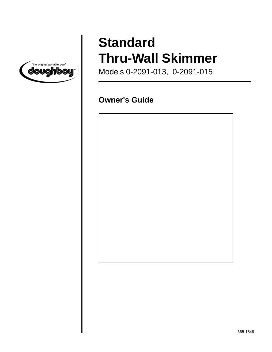

# **Standard Thru-Wall Skimmer**

Models 0-2091-013, 0-2091-015

# **Owner's Guide**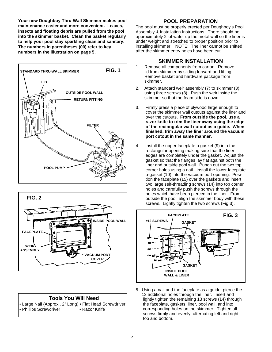**Your new Doughboy Thru-Wall Skimmer makes pool maintenance easier and more convenient. Leaves, insects and floating debris are pulled from the pool into the skimmer basket. Clean the basket regularly to help your pool stay sparkling clean and sanitary. The numbers in parentheses (00) refer to key numbers in the illustration on page 5.**





#### **Tools You Will Need**

• Large Nail (Approx.. 2" Long) • Flat Head Screwdriver • Phillips Screwdriver • Razor Knife

#### **POOL PREPARATION**

The pool must be properly erected per Doughboy's Pool Assembly & Installation Instructions. There should be approximately 2' of water up the metal wall so the liner is under weight and stretched to proper position prior to installing skimmer. NOTE: The liner cannot be shifted after the skimmer entry holes have been cut.

#### **SKIMMER INSTALLATION**

- 1. Remove all components from carton. Remove lid from skimmer by sliding forward and lifting. Remove basket and hardware package from skimmer.
- 2. Attach standard weir assembly (7) to skimmer (3) using three screws (8). Push the weir inside the skimmer so that the foam side is down.
- 3. Firmly press a piece of plywood large enough to cover the skimmer wall cutouts against the liner and over the cutouts. **From outside the pool, use a razor knife to trim the liner away using the edge of the rectangular wall cutout as a guide. When finished, trim away the liner around the vacuum port cutout in the same manner.**
- 4. Install the upper faceplate u-gasket (9) into the rectangular opening making sure that the liner edges are completely under the gasket. Adjust the gasket so that the flanges lay flat against both the liner and outside pool wall. Punch out the two top corner holes using a nail. Install the lower faceplate u-gasket (10) into the vacuum port opening. Position the faceplate (15) over the gaskets and insert two large self-threading screws (14) into top corner holes and carefully push the screws through the holes which have been pierced in the liner. From outside the pool, align the skimmer body with these screws. Lightly tighten the two screws (Fig.3).



5. Using a nail and the faceplate as a guide, pierce the 13 additional holes through the liner. Insert and lightly tighten the remaining 13 screws (14) through the faceplate, gaskets, liner, pool wall, and into corresponding holes on the skimmer. Tighten all screws firmly and evenly, alternating left and right, top and bottom.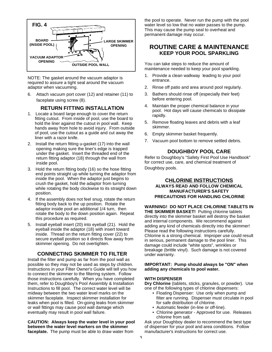

NOTE: The gasket around the vacuum adaptor is required to assure a tight seal around the vacuum adaptor when vacuuming.

6. Attach vacuum port cover (12) and retainer (11) to faceplate using screw (8).

#### **RETURN FITTING INSTALLATION**

- 1. Locate a board large enough to cover the return fitting cutout. From inside of pool, use the board to hold the liner against the cutout in pool wall. Keep hands away from hole to avoid injury. From outside of pool, use the cutout as a guide and cut away the liner with a razor knife.
- 2. Install the return fitting u-gasket (17) into the wall opening making sure the liner's edge is trapped under the gasket. Insert the threaded end of the return fitting adaptor (18) through the wall from inside pool.
- 3. Hold the return fitting body (16) so the hose fitting end points straight up while turning the adaptor from inside the pool. When the adaptor just begins to crush the gasket, hold the adaptor from turning while rotating the body clockwise to its straight down position.
- 4. If the assembly does not feel snug, rotate the return fitting body back to the up position. Rotate the adaptor inside pool an additional 1/4 turn, then rotate the body to the down position again. Repeat this procedure as required.
- 5. Install eyeball insert (20) into eyeball (21). Hold the eyeball inside the adaptor (18) with insert toward inside. Thread on the return fitting cover (22) to secure eyeball position so it directs flow away from skimmer opening. Do not overtighten.

#### **CONNECTING SKIMMER TO FILTER**

Install the filter and pump as far from the pool wall as possible so they may not be used as steps by children. Instructions in your Filter Owner's Guide will tell you how to connect the skimmer to the filtering system. Follow those instructions carefully. When you have completed them, refer to Doughboy's Pool Assembly & Installation Instructions to fill pool. The correct water level will be midway between the two water level marks on the skimmer faceplate. Inspect skimmer installation for leaks when pool is filled. On-going leaks from skimmer or wall fittings may cause pool wall damage which eventually may result in pool wall failure.

**CAUTION: Always keep the water level in your pool between the water level markers on the skimmer faceplate.** The pump must be able to draw water from

the pool to operate. Never run the pump with the pool water level so low that no water passes to the pump. This may cause the pump seal to overheat and permanent damage may occur.

### **ROUTINE CARE & MAINTENANCE KEEP YOUR POOL SPARKLING**

You can take steps to reduce the amount of maintenance needed to keep your pool sparkling.

- 1. Provide a clean walkway leading to your pool entrance.
- 2. Rinse off patio and area around pool regularly.
- 3. Bathers should rinse off (especially their feet) before entering pool.
- 4. Maintain the proper chemical balance in your pool. Hot days will cause chemicals to dissipate rapidly.
- 5. Remove floating leaves and debris with a leaf skimmer.
- 6. Empty skimmer basket frequently.
- 7. Vacuum pool bottom to remove settled debris.

#### **DOUGHBOY POOL CARE**

Refer to Doughboy's "Safety First Pool Use Handbook" for correct use, care, and chemical treatment of Doughboy pools.

#### **CHLORINE INSTRUCTIONS ALWAYS READ AND FOLLOW CHEMICAL MANUFACTURER'S SAFETY PRECAUTIONS FOR HANDLING CHLORINE**

**WARNING! DO NOT PLACE CHLORINE TABLETS IN THE SKIMMER BASKET!** Putting chlorine tablets directly into the skimmer basket will destroy the basket and internal components. We recommend against adding any kind of chemicals directly into the skimmer! Please read the following instructions carefully. Chlorine is a strong chemical. Improper use could result in serious, permanent damage to the pool liner. This damage could include "white spots", wrinkles or breakage (brittle vinyl). Such damage is not covered under warranty.

#### **IMPORTANT: Pump should always be "ON" when adding any chemicals to pool water.**

#### **WITH DISPENSER**

**Dry Chlorine** (tablets, sticks, granules, or powder). Use one of the following types of chlorine dispensers:

- Floating Dispenser: Use only when pump and filter are running. Dispenser must circulate in pool for safe distribution of chlorine.
- Automatic feeder (in-line or off-line).
- Chlorine generator Approved for use. Releases chlorine from salt.

Ask your Doughboy dealer to recommend the best type of dispenser for your pool and area conditions. Follow manufacturer's instructions for correct use.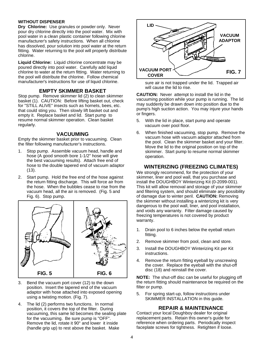#### **WITHOUT DISPENSER**

**Dry Chlorine:** Use granules or powder only. Never pour dry chlorine directly into the pool water. Mix with pool water in a clean plastic container following chlorine manufacturer's safety instructions. When all chlorine has dissolved, pour solution into pool water at the return fitting. Water returning to the pool will properly distribute chlorine.

**Liquid Chlorine:** Liquid chlorine concentrate may be poured directly into pool water. Carefully add liquid chlorine to water at the return fitting. Water returning to the pool will distribute the chlorine. Follow chemical manufacturer's instructions for use of liquid chlorine.

#### **EMPTY SKIMMER BASKET**

Stop pump. Remove skimmer lid (2) to clean skimmer basket (1). CAUTION: Before lifting basket out, check for "STILL ALIVE" insects such as hornets, bees, etc. that could sting you. Then slowly lift basket out and empty it. Replace basket and lid. Start pump to resume normal skimmer operation. Clean basket regularly.

#### **VACUUMING**

Empty the skimmer basket prior to vacuuming. Clean the filter following manufacturer's instructions.

- 1. Stop pump. Assemble vacuum head, handle and hose (A good smooth bore 1-1/2" hose will give the best vacuuming results). Attach free end of hose to the double tapered end of vacuum adaptor (13).
- 2. Start pump. Hold the free end of the hose against the return fitting discharge. This will force air from the hose. When the bubbles cease to rise from the vacuum head, all the air is removed. (Fig. 5 and Fig. 6). Stop pump.



- 3. Bend the vacuum port cover (12) to the down position. Insert the tapered end of the vacuum adaptor with hose attached into exposed opening using a twisting motion. (Fig. 7).
- 4. The lid (2) performs two functions. In normal position, it covers the top of the filter. During vacuuming, this same lid becomes the sealing plate for the vacuuming. Be sure pump is "OFF". Remove the lid, rotate it 90° and lower it inside (handle grip up) to rest above the basket. Make



sure air is not trapped under the lid. Trapped air will cause the lid to rise.

**CAUTION:** Never attempt to install the lid in the vacuuming position while your pump is running. The lid may suddenly be drawn down into position due to the pump's high suction action. You may injure your hands or fingers.

- 5. With the lid in place, start pump and operate vacuum over pool floor.
- 6. When finished vacuuming, stop pump. Remove the vacuum hose with vacuum adaptor attached from the pool. Clean the skimmer basket and your filter. Move the lid to the original position on top of the skimmer. Start pump to resume normal skimmer operation.

#### **WINTERIZING (FREEZING CLIMATES)**

We strongly recommend, for the protection of your skimmer, liner and pool wall, that you purchase and install the DOUGHBOY Winterizing Kit (0-2099-001). This kit will allow removal and storage of your skimmer and filtering system, and should eliminate any possibility of damage due to winter peril. **CAUTION:** Removing the skimmer without installing a winterizing kit is very dangerous to the pool wall, liner, and pool installation, and voids any warranty. Filter damage caused by freezing temperatures is not covered by product warranty.

- 1. Drain pool to 6 inches below the eyeball return fitting.
- 2. Remove skimmer from pool, clean and store.
- 3. Install the DOUGHBOY Winterizing Kit per Kit instructions.
- 4. Remove the return fitting eyeball by unscrewing the cover. Replace the eyeball with the shut-off disc (18) and reinstall the cover.

**NOTE:** The shut-off disc can be useful for plugging off the return fitting should maintenance be required on the filter or pump.

5. For spring start-up, follow instructions under SKIMMER INSTALLATION in this guide.

#### **REPAIR & MAINTENANCE**

Contact your local Doughboy dealer for original replacement parts. Retain this owner's guide for reference when ordering parts. Periodically inspect faceplate screws for tightness. Retighten if loose.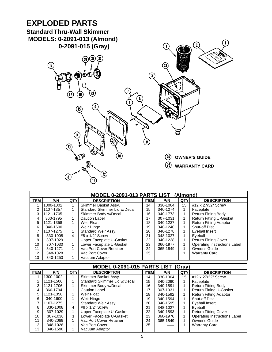# **EXPLODED PARTS**

**Standard Thru-Wall Skimmer MODELS: 0-2091-013 (Almond)**  $\overline{\mathcal{Q}}$  **0-2091-015 (Gray)**  $\left( \bigcap \right)$  $\Omega$  $\binom{2}{2}$ **(20)** 伍  $\Omega$  $\bigcirc$ စ်စ $\mathbb Q$  $\bigodot$  $\textcircled{\scriptsize{13}}$  $\mathbf{u}$ ( 9  $\left( \mathbb{E}\right)$  $\left( \mathbf{14}\right)$ 8  $(13)$ **OWNER'S GUIDE**  $\Omega$ **WARRANTY CARD**  $\left| \frac{1}{2} \right\rangle$  $\overline{\mathbf{1}}$ 

| MODEL 0-2091-013 PARTS LIST (Almond) |           |            |                              |             |          |     |                                     |  |  |  |  |
|--------------------------------------|-----------|------------|------------------------------|-------------|----------|-----|-------------------------------------|--|--|--|--|
| <b>ITEM</b>                          | P/N       | <b>QTY</b> | <b>DESCRIPTION</b>           | <b>ITEM</b> | P/N      | QTY | <b>DESCRIPTION</b>                  |  |  |  |  |
|                                      | 1300-1002 |            | Skimmer Basket Assy.         | 14          | 330-1004 | 15  | #12 x 27/32" Screw                  |  |  |  |  |
|                                      | 1107-1357 |            | Standard Skimmer Lid w/Decal | 15          | 340-1274 |     | Faceplate                           |  |  |  |  |
| 3                                    | 1121-1705 |            | Skimmer Body w/Decal         | 16          | 340-1773 |     | <b>Return Fitting Body</b>          |  |  |  |  |
| 4                                    | 360-1795  |            | <b>Caution Label</b>         | 17          | 307-1031 |     | <b>Return Fitting U-Gasket</b>      |  |  |  |  |
| 5                                    | 1121-1358 |            | Weir Float                   | 18          | 340-1237 |     | <b>Return Fitting Adaptor</b>       |  |  |  |  |
| 6                                    | 340-1600  |            | Weir Hinge                   | 19          | 340-1240 |     | Shut-off Disc                       |  |  |  |  |
|                                      | 1107-1275 |            | Standard Weir Assy.          | 20          | 340-1278 |     | Eyeball Insert                      |  |  |  |  |
| 8                                    | 330-1008  | 4          | #8 $\times$ 1/2" Screw       | 21          | 348-1027 |     | Eyeball                             |  |  |  |  |
| 9                                    | 307-1029  |            | Upper Faceplate U-Gasket     | 22          | 340-1238 |     | <b>Return Fitting Cover</b>         |  |  |  |  |
| 10                                   | 307-1030  |            | Lower Faceplate U-Gasket     | 23          | 360-1977 |     | <b>Operating Instructions Label</b> |  |  |  |  |
| 11                                   | 340-1271  |            | Vac Port Cover Retainer      | 24          | 365-1849 |     | Owner's Guide                       |  |  |  |  |
| 12                                   | 348-1028  |            | Vac Port Cover               | 25          |          |     | <b>Warranty Card</b>                |  |  |  |  |
| 13                                   | 340-1253  |            | Vacuum Adaptor               |             |          |     |                                     |  |  |  |  |

| MODEL 0-2091-015 PARTS LIST (Gray) |           |            |                              |             |          |     |                                     |  |  |  |
|------------------------------------|-----------|------------|------------------------------|-------------|----------|-----|-------------------------------------|--|--|--|
| <b>ITEM</b>                        | P/N       | <b>QTY</b> | <b>DESCRIPTION</b>           | <b>ITEM</b> | P/N      | QTY | <b>DESCRIPTION</b>                  |  |  |  |
|                                    | 1300-1002 |            | Skimmer Basket Assy.         | 14          | 330-1004 | 15  | #12 x 27/32" Screw                  |  |  |  |
| 2                                  | 1121-1506 |            | Standard Skimmer Lid w/Decal | 15          | 340-2090 |     | Faceplate                           |  |  |  |
| 3                                  | 1121-1706 |            | Skimmer Body w/Decal         | 16          | 340-1591 |     | <b>Return Fitting Body</b>          |  |  |  |
| 4                                  | 360-1794  |            | <b>Caution Label</b>         | 17          | 307-1031 |     | <b>Return Fitting U-Gasket</b>      |  |  |  |
| 5                                  | 1121-1358 |            | Weir Float                   | 18          | 340-1592 |     | <b>Return Fitting Adaptor</b>       |  |  |  |
| 6                                  | 340-1600  |            | Weir Hinge                   | 19          | 340-1594 |     | <b>Shut-off Disc</b>                |  |  |  |
|                                    | 1107-1275 |            | Standard Weir Assy.          | 20          | 340-1595 |     | Eyeball Insert                      |  |  |  |
| 8                                  | 330-1008  | 4          | #8 x 1/2" Screw              | 21          | 348-1027 |     | Eyeball                             |  |  |  |
| 9                                  | 307-1029  |            | Upper Faceplate U-Gasket     | 22          | 340-1593 |     | <b>Return Fitting Cover</b>         |  |  |  |
| 10                                 | 307-1030  |            | Lower Faceplate U-Gasket     | 23          | 360-1976 |     | <b>Operating Instructions Label</b> |  |  |  |
| 11                                 | 340-2089  |            | Vac Port Cover Retainer      | 24          | 365-1849 |     | Owner's Guide                       |  |  |  |
| 12 <sup>°</sup>                    | 348-1028  |            | Vac Port Cover               | 25          |          |     | <b>Warranty Card</b>                |  |  |  |
| 13                                 | 340-1590  |            | Vacuum Adaptor               |             |          |     |                                     |  |  |  |